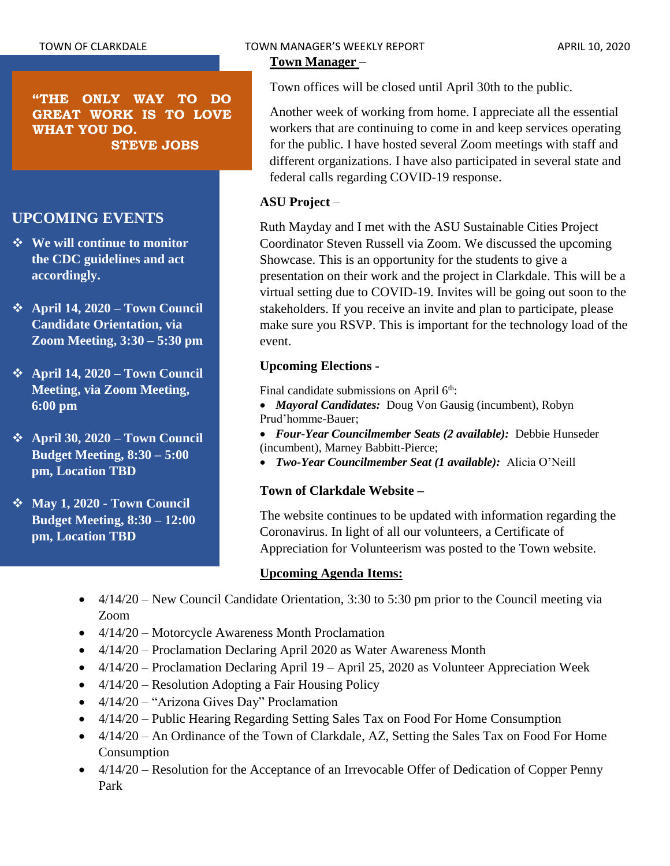**"THE ONLY WAY TO DO GREAT WORK IS TO LOVE WHAT YOU DO. STEVE JOBS**

# **UPCOMING EVENTS**

- ❖ **We will continue to monitor the CDC guidelines and act accordingly.**
- ❖ **April 14, 2020 – Town Council Candidate Orientation, via Zoom Meeting, 3:30 – 5:30 pm**
- ❖ **April 14, 2020 – Town Council Meeting, via Zoom Meeting, 6:00 pm**
- ❖ **April 30, 2020 – Town Council Budget Meeting, 8:30 – 5:00 pm, Location TBD**
- ❖ **May 1, 2020 - Town Council Budget Meeting, 8:30 – 12:00 pm, Location TBD**

# **Town Manager** –

Town offices will be closed until April 30th to the public.

Another week of working from home. I appreciate all the essential workers that are continuing to come in and keep services operating for the public. I have hosted several Zoom meetings with staff and different organizations. I have also participated in several state and federal calls regarding COVID-19 response.

## **ASU Project** –

Ruth Mayday and I met with the ASU Sustainable Cities Project Coordinator Steven Russell via Zoom. We discussed the upcoming Showcase. This is an opportunity for the students to give a presentation on their work and the project in Clarkdale. This will be a virtual setting due to COVID-19. Invites will be going out soon to the stakeholders. If you receive an invite and plan to participate, please make sure you RSVP. This is important for the technology load of the event.

## **Upcoming Elections -**

Final candidate submissions on April 6<sup>th</sup>:

• *Mayoral Candidates:* Doug Von Gausig (incumbent), Robyn Prud'homme-Bauer;

• *Four-Year Councilmember Seats (2 available):* Debbie Hunseder (incumbent), Marney Babbitt-Pierce;

• *Two-Year Councilmember Seat (1 available):* Alicia O'Neill

#### **Town of Clarkdale Website –**

The website continues to be updated with information regarding the Coronavirus. In light of all our volunteers, a Certificate of Appreciation for Volunteerism was posted to the Town website.

# **Upcoming Agenda Items:**

- 4/14/20 New Council Candidate Orientation, 3:30 to 5:30 pm prior to the Council meeting via Zoom
- 4/14/20 Motorcycle Awareness Month Proclamation
- 4/14/20 Proclamation Declaring April 2020 as Water Awareness Month
- 4/14/20 Proclamation Declaring April 19 April 25, 2020 as Volunteer Appreciation Week
- 4/14/20 Resolution Adopting a Fair Housing Policy
- 4/14/20 "Arizona Gives Day" Proclamation
- 4/14/20 Public Hearing Regarding Setting Sales Tax on Food For Home Consumption
- 4/14/20 An Ordinance of the Town of Clarkdale, AZ, Setting the Sales Tax on Food For Home Consumption
- 4/14/20 Resolution for the Acceptance of an Irrevocable Offer of Dedication of Copper Penny Park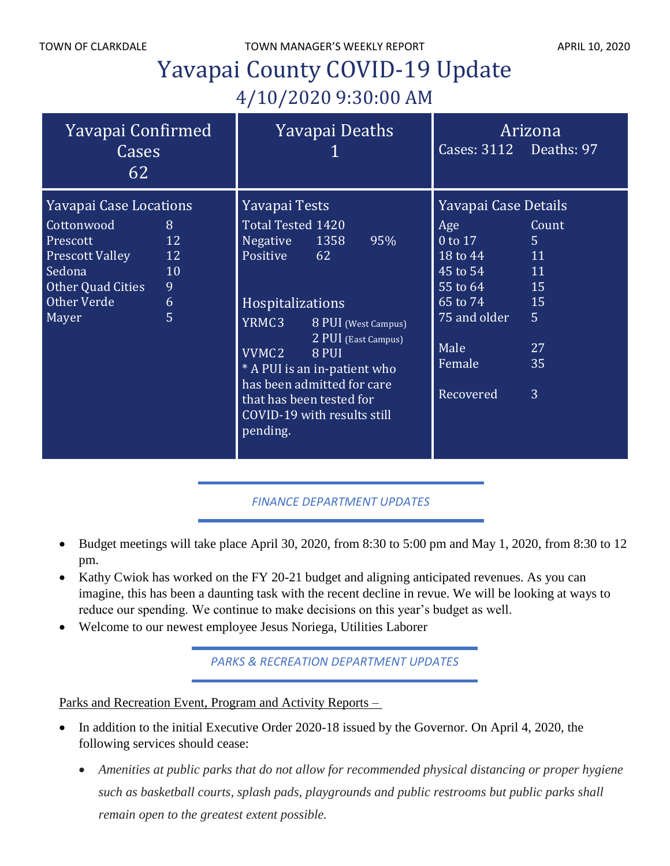# Yavapai County COVID-19 Update 4/10/2020 9:30:00 AM

| Yavapai Confirmed<br>Cases<br>62                                                                                                         |                                           |                                                                                                                 | Yavapai Deaths                                                                                                                                                                              | Cases: 3112 Deaths: 97                                                                                                                                          | Arizona                                                                                   |
|------------------------------------------------------------------------------------------------------------------------------------------|-------------------------------------------|-----------------------------------------------------------------------------------------------------------------|---------------------------------------------------------------------------------------------------------------------------------------------------------------------------------------------|-----------------------------------------------------------------------------------------------------------------------------------------------------------------|-------------------------------------------------------------------------------------------|
| <b>Yavapai Case Locations</b><br>Cottonwood<br>Prescott<br><b>Prescott Valley</b><br>Sedona<br>Other Quad Cities<br>Other Verde<br>Mayer | 8<br>12<br><b>12</b><br>10<br>9<br>6<br>5 | Yavapai Tests<br>Total Tested 1420<br>Negative<br>Positive 62<br>Hospitalizations<br>YRMC3<br>VVMC2<br>pending. | 1358<br>95%<br>8 PUI (West Campus)<br>2 PUI (East Campus)<br>8 PUI<br>* A PUI is an in-patient who<br>has been admitted for care<br>that has been tested for<br>COVID-19 with results still | Yavapai Case Details<br>Age<br>$0$ to $17$<br>$18 \text{ to } 44$<br>45 to 54 11<br>$55$ to $64$<br>$65$ to $74$<br>75 and older<br>Male<br>Female<br>Recovered | Count<br>5 <sup>1</sup><br>$\overline{11}$<br>15<br>15<br>5 <sup>1</sup><br>27<br>35<br>3 |

# *FINANCE DEPARTMENT UPDATES*

- Budget meetings will take place April 30, 2020, from 8:30 to 5:00 pm and May 1, 2020, from 8:30 to 12 pm.
- Kathy Cwiok has worked on the FY 20-21 budget and aligning anticipated revenues. As you can imagine, this has been a daunting task with the recent decline in revue. We will be looking at ways to reduce our spending. We continue to make decisions on this year's budget as well.
- Welcome to our newest employee Jesus Noriega, Utilities Laborer

*PARKS & RECREATION DEPARTMENT UPDATES*

Parks and Recreation Event, Program and Activity Reports –

- In addition to the initial Executive Order 2020-18 issued by the Governor. On April 4, 2020, the following services should cease:
	- *Amenities at public parks that do not allow for recommended physical distancing or proper hygiene such as basketball courts, splash pads, playgrounds and public restrooms but public parks shall remain open to the greatest extent possible.*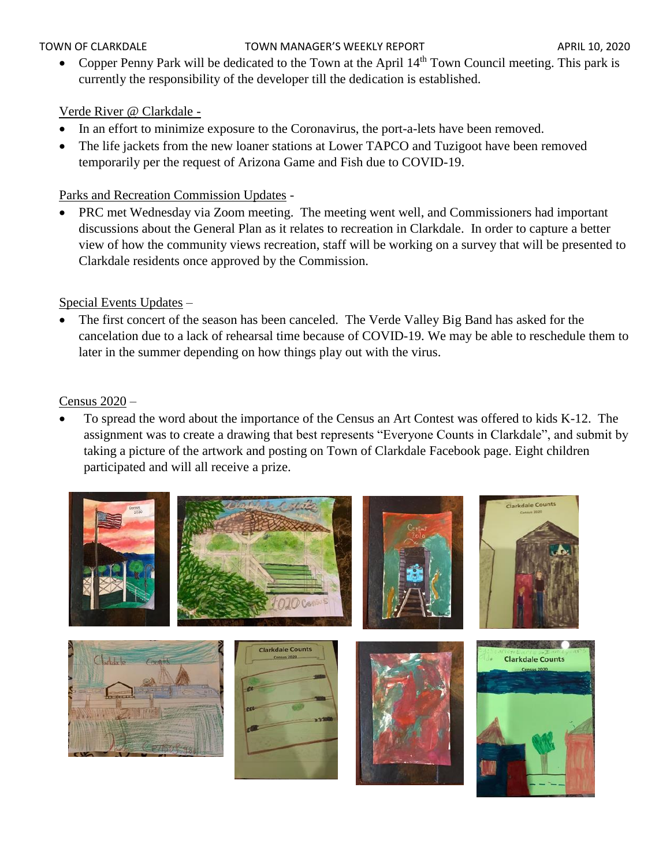#### TOWN OF CLARKDALE TOWN MANAGER'S WEEKLY REPORT TOWN OF CLARKDALE

• Copper Penny Park will be dedicated to the Town at the April  $14<sup>th</sup>$  Town Council meeting. This park is currently the responsibility of the developer till the dedication is established.

# Verde River @ Clarkdale -

- In an effort to minimize exposure to the Coronavirus, the port-a-lets have been removed.
- The life jackets from the new loaner stations at Lower TAPCO and Tuzigoot have been removed temporarily per the request of Arizona Game and Fish due to COVID-19.

# Parks and Recreation Commission Updates -

• PRC met Wednesday via Zoom meeting. The meeting went well, and Commissioners had important discussions about the General Plan as it relates to recreation in Clarkdale. In order to capture a better view of how the community views recreation, staff will be working on a survey that will be presented to Clarkdale residents once approved by the Commission.

# Special Events Updates –

• The first concert of the season has been canceled. The Verde Valley Big Band has asked for the cancelation due to a lack of rehearsal time because of COVID-19. We may be able to reschedule them to later in the summer depending on how things play out with the virus.

# Census 2020 –

• To spread the word about the importance of the Census an Art Contest was offered to kids K-12. The assignment was to create a drawing that best represents "Everyone Counts in Clarkdale", and submit by taking a picture of the artwork and posting on Town of Clarkdale Facebook page. Eight children participated and will all receive a prize.

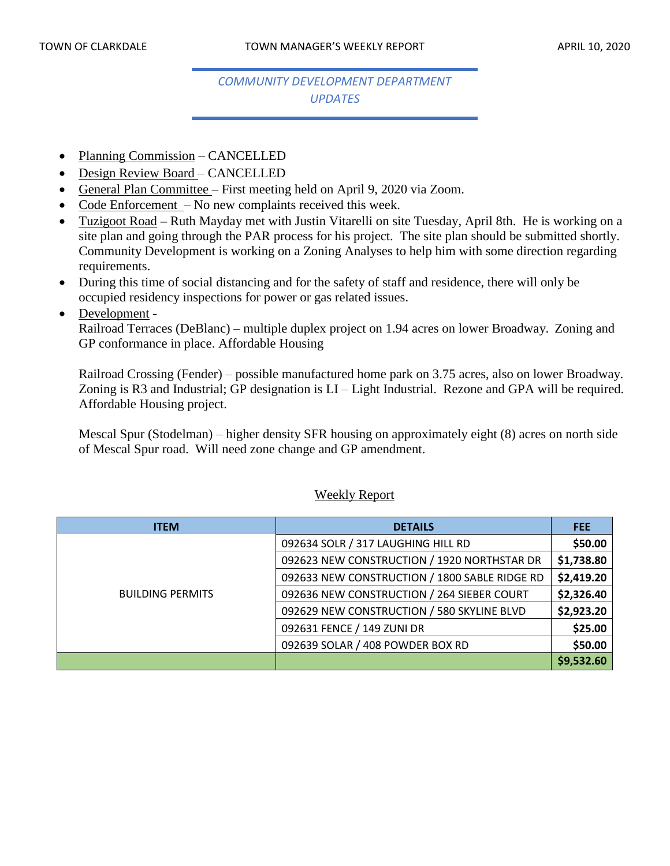# *COMMUNITY DEVELOPMENT DEPARTMENT UPDATES*

- Planning Commission CANCELLED
- Design Review Board CANCELLED
- General Plan Committee First meeting held on April 9, 2020 via Zoom.
- Code Enforcement No new complaints received this week.
- Tuzigoot Road **–** Ruth Mayday met with Justin Vitarelli on site Tuesday, April 8th. He is working on a site plan and going through the PAR process for his project. The site plan should be submitted shortly. Community Development is working on a Zoning Analyses to help him with some direction regarding requirements.
- During this time of social distancing and for the safety of staff and residence, there will only be occupied residency inspections for power or gas related issues.
- Development -

Railroad Terraces (DeBlanc) – multiple duplex project on 1.94 acres on lower Broadway. Zoning and GP conformance in place. Affordable Housing

Railroad Crossing (Fender) – possible manufactured home park on 3.75 acres, also on lower Broadway. Zoning is R3 and Industrial; GP designation is LI – Light Industrial. Rezone and GPA will be required. Affordable Housing project.

Mescal Spur (Stodelman) – higher density SFR housing on approximately eight (8) acres on north side of Mescal Spur road. Will need zone change and GP amendment.

#### Weekly Report

| <b>ITEM</b>             | <b>DETAILS</b>                                | <b>FEE</b> |
|-------------------------|-----------------------------------------------|------------|
|                         | 092634 SOLR / 317 LAUGHING HILL RD            | \$50.00    |
|                         | 092623 NEW CONSTRUCTION / 1920 NORTHSTAR DR   | \$1,738.80 |
|                         | 092633 NEW CONSTRUCTION / 1800 SABLE RIDGE RD | \$2,419.20 |
| <b>BUILDING PERMITS</b> | 092636 NEW CONSTRUCTION / 264 SIEBER COURT    | \$2,326.40 |
|                         | 092629 NEW CONSTRUCTION / 580 SKYLINE BLVD    | \$2,923.20 |
|                         | 092631 FENCE / 149 ZUNI DR                    | \$25.00    |
|                         | 092639 SOLAR / 408 POWDER BOX RD              | \$50.00    |
|                         |                                               | \$9,532.60 |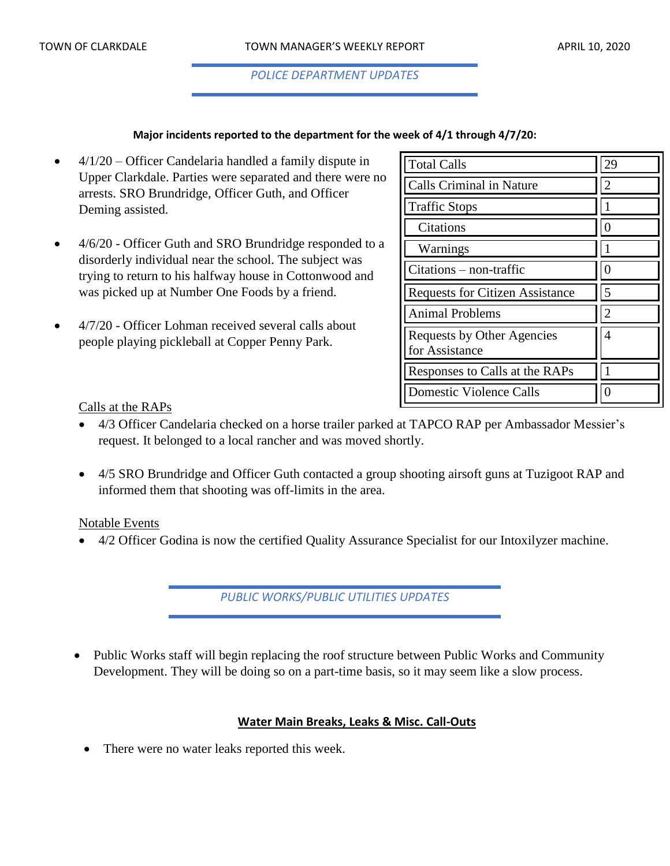#### *POLICE DEPARTMENT UPDATES*

#### **Major incidents reported to the department for the week of 4/1 through 4/7/20:**

- $4/1/20$  Officer Candelaria handled a family dispute in Upper Clarkdale. Parties were separated and there were no arrests. SRO Brundridge, Officer Guth, and Officer Deming assisted.
- 4/6/20 Officer Guth and SRO Brundridge responded to a disorderly individual near the school. The subject was trying to return to his halfway house in Cottonwood and was picked up at Number One Foods by a friend.
- 4/7/20 Officer Lohman received several calls about people playing pickleball at Copper Penny Park.

| <b>Total Calls</b>                           | 29 |
|----------------------------------------------|----|
| <b>Calls Criminal in Nature</b>              | 2  |
| <b>Traffic Stops</b>                         |    |
| Citations                                    |    |
| Warnings                                     |    |
| Citations – non-traffic                      |    |
| <b>Requests for Citizen Assistance</b>       | 5  |
| <b>Animal Problems</b>                       | 2  |
| Requests by Other Agencies<br>for Assistance | 4  |
| Responses to Calls at the RAPs               |    |
| <b>Domestic Violence Calls</b>               |    |

#### Calls at the RAPs

- 4/3 Officer Candelaria checked on a horse trailer parked at TAPCO RAP per Ambassador Messier's request. It belonged to a local rancher and was moved shortly.
- 4/5 SRO Brundridge and Officer Guth contacted a group shooting airsoft guns at Tuzigoot RAP and informed them that shooting was off-limits in the area.

#### Notable Events

• 4/2 Officer Godina is now the certified Quality Assurance Specialist for our Intoxilyzer machine.

*PUBLIC WORKS/PUBLIC UTILITIES UPDATES*

• Public Works staff will begin replacing the roof structure between Public Works and Community Development. They will be doing so on a part-time basis, so it may seem like a slow process.

#### **Water Main Breaks, Leaks & Misc. Call-Outs**

• There were no water leaks reported this week.